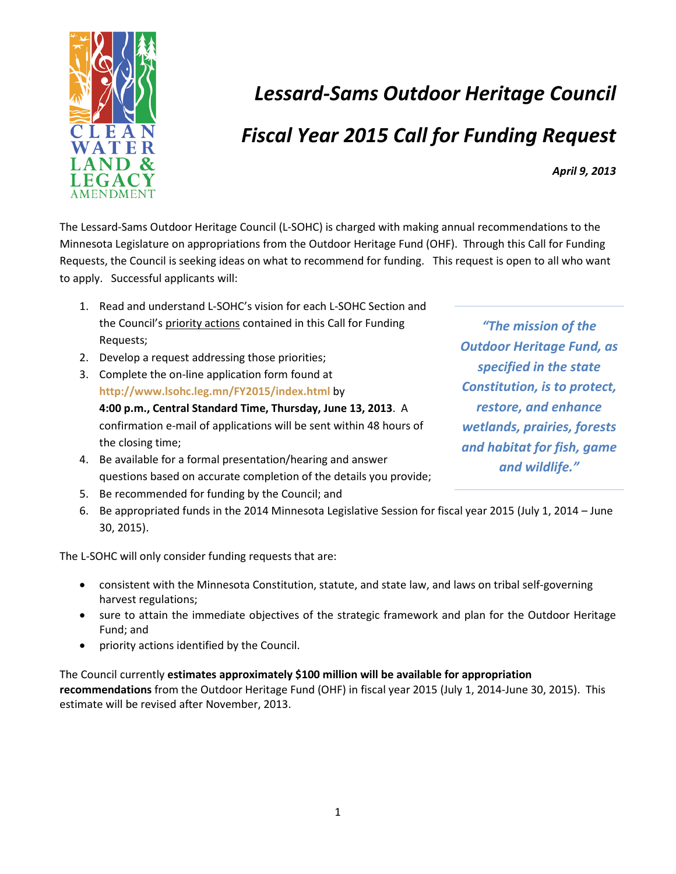

# *Lessard-Sams Outdoor Heritage Council Fiscal Year 2015 Call for Funding Request*

*April 9, 2013* 

The Lessard-Sams Outdoor Heritage Council (L-SOHC) is charged with making annual recommendations to the Minnesota Legislature on appropriations from the Outdoor Heritage Fund (OHF). Through this Call for Funding Requests, the Council is seeking ideas on what to recommend for funding. This request is open to all who want to apply. Successful applicants will:

- 1. Read and understand L-SOHC's vision for each L-SOHC Section and the Council's priority actions contained in this Call for Funding Requests;
- 2. Develop a request addressing those priorities;
- 3. Complete the on-line application form found at **<http://www.lsohc.leg.mn/FY2015/index.html>** by **4:00 p.m., Central Standard Time, Thursday, June 13, 2013**. A confirmation e-mail of applications will be sent within 48 hours of the closing time;
- 4. Be available for a formal presentation/hearing and answer questions based on accurate completion of the details you provide;
- 5. Be recommended for funding by the Council; and
- 6. Be appropriated funds in the 2014 Minnesota Legislative Session for fiscal year 2015 (July 1, 2014 June 30, 2015).

The L-SOHC will only consider funding requests that are:

- consistent with the Minnesota Constitution, statute, and state law, and laws on tribal self-governing harvest regulations;
- sure to attain the immediate objectives of the strategic framework and plan for the Outdoor Heritage Fund; and
- priority actions identified by the Council.

The Council currently **estimates approximately \$100 million will be available for appropriation recommendations** from the Outdoor Heritage Fund (OHF) in fiscal year 2015 (July 1, 2014-June 30, 2015). This estimate will be revised after November, 2013.

*"The mission of the Outdoor Heritage Fund, as specified in the state Constitution, is to protect, restore, and enhance wetlands, prairies, forests and habitat for fish, game and wildlife."*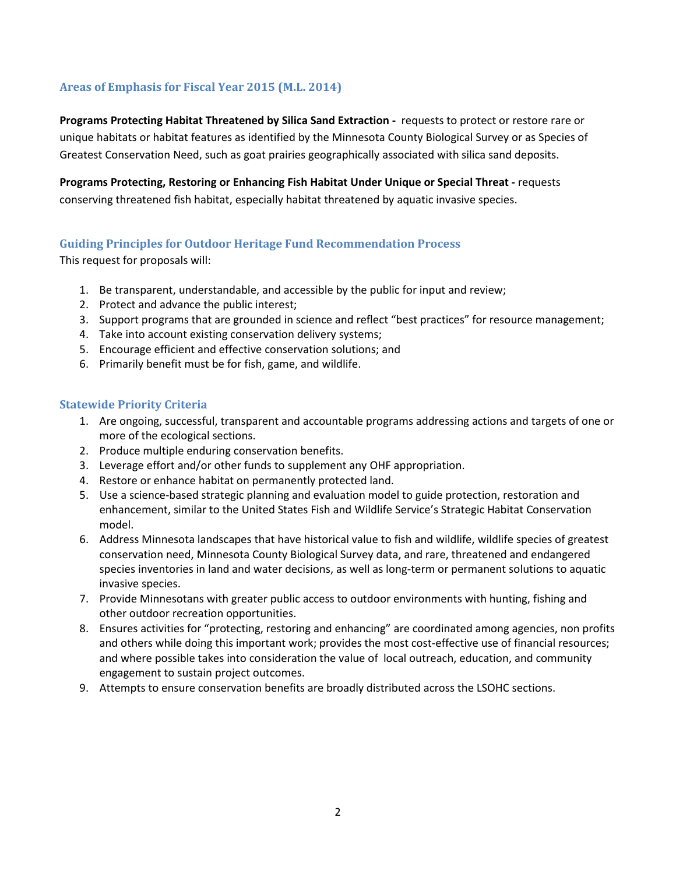## **Areas of Emphasis for Fiscal Year 2015 (M.L. 2014)**

**Programs Protecting Habitat Threatened by Silica Sand Extraction -** requests to protect or restore rare or unique habitats or habitat features as identified by the Minnesota County Biological Survey or as Species of Greatest Conservation Need, such as goat prairies geographically associated with silica sand deposits.

**Programs Protecting, Restoring or Enhancing Fish Habitat Under Unique or Special Threat -** requests conserving threatened fish habitat, especially habitat threatened by aquatic invasive species.

## **Guiding Principles for Outdoor Heritage Fund Recommendation Process**

This request for proposals will:

- 1. Be transparent, understandable, and accessible by the public for input and review;
- 2. Protect and advance the public interest;
- 3. Support programs that are grounded in science and reflect "best practices" for resource management;
- 4. Take into account existing conservation delivery systems;
- 5. Encourage efficient and effective conservation solutions; and
- 6. Primarily benefit must be for fish, game, and wildlife.

#### **Statewide Priority Criteria**

- 1. Are ongoing, successful, transparent and accountable programs addressing actions and targets of one or more of the ecological sections.
- 2. Produce multiple enduring conservation benefits.
- 3. Leverage effort and/or other funds to supplement any OHF appropriation.
- 4. Restore or enhance habitat on permanently protected land.
- 5. Use a science-based strategic planning and evaluation model to guide protection, restoration and enhancement, similar to the United States Fish and Wildlife Service's Strategic Habitat Conservation model.
- 6. Address Minnesota landscapes that have historical value to fish and wildlife, wildlife species of greatest conservation need, Minnesota County Biological Survey data, and rare, threatened and endangered species inventories in land and water decisions, as well as long-term or permanent solutions to aquatic invasive species.
- 7. Provide Minnesotans with greater public access to outdoor environments with hunting, fishing and other outdoor recreation opportunities.
- 8. Ensures activities for "protecting, restoring and enhancing" are coordinated among agencies, non profits and others while doing this important work; provides the most cost-effective use of financial resources; and where possible takes into consideration the value of local outreach, education, and community engagement to sustain project outcomes.
- 9. Attempts to ensure conservation benefits are broadly distributed across the LSOHC sections.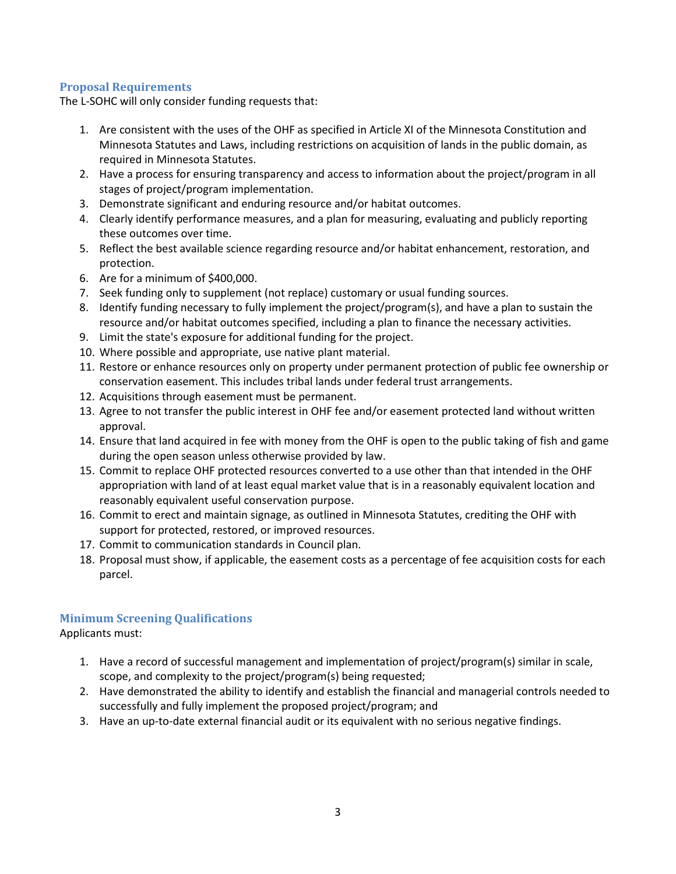#### **Proposal Requirements**

The L-SOHC will only consider funding requests that:

- 1. Are consistent with the uses of the OHF as specified in Article XI of the Minnesota Constitution and Minnesota Statutes and Laws, including restrictions on acquisition of lands in the public domain, as required in Minnesota Statutes.
- 2. Have a process for ensuring transparency and access to information about the project/program in all stages of project/program implementation.
- 3. Demonstrate significant and enduring resource and/or habitat outcomes.
- 4. Clearly identify performance measures, and a plan for measuring, evaluating and publicly reporting these outcomes over time.
- 5. Reflect the best available science regarding resource and/or habitat enhancement, restoration, and protection.
- 6. Are for a minimum of \$400,000.
- 7. Seek funding only to supplement (not replace) customary or usual funding sources.
- 8. Identify funding necessary to fully implement the project/program(s), and have a plan to sustain the resource and/or habitat outcomes specified, including a plan to finance the necessary activities.
- 9. Limit the state's exposure for additional funding for the project.
- 10. Where possible and appropriate, use native plant material.
- 11. Restore or enhance resources only on property under permanent protection of public fee ownership or conservation easement. This includes tribal lands under federal trust arrangements.
- 12. Acquisitions through easement must be permanent.
- 13. Agree to not transfer the public interest in OHF fee and/or easement protected land without written approval.
- 14. Ensure that land acquired in fee with money from the OHF is open to the public taking of fish and game during the open season unless otherwise provided by law.
- 15. Commit to replace OHF protected resources converted to a use other than that intended in the OHF appropriation with land of at least equal market value that is in a reasonably equivalent location and reasonably equivalent useful conservation purpose.
- 16. Commit to erect and maintain signage, as outlined in Minnesota Statutes, crediting the OHF with support for protected, restored, or improved resources.
- 17. Commit to communication standards in Council plan.
- 18. Proposal must show, if applicable, the easement costs as a percentage of fee acquisition costs for each parcel.

## **Minimum Screening Qualifications**

Applicants must:

- 1. Have a record of successful management and implementation of project/program(s) similar in scale, scope, and complexity to the project/program(s) being requested;
- 2. Have demonstrated the ability to identify and establish the financial and managerial controls needed to successfully and fully implement the proposed project/program; and
- 3. Have an up-to-date external financial audit or its equivalent with no serious negative findings.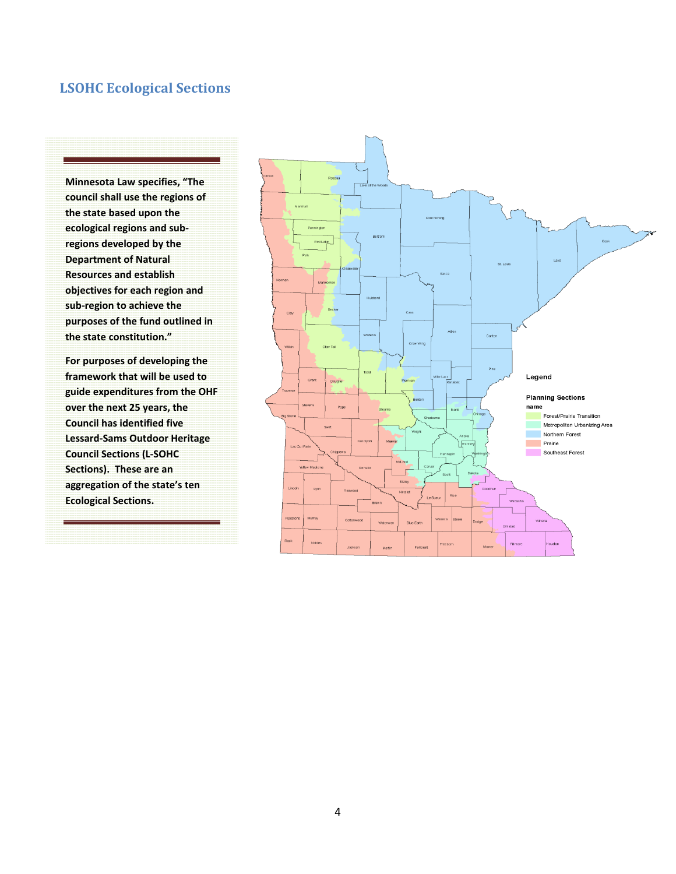# **LSOHC Ecological Sections**

**Minnesota Law specifies, "The council shall use the regions of the state based upon the ecological regions and subregions developed by the Department of Natural Resources and establish objectives for each region and sub-region to achieve the purposes of the fund outlined in the state constitution."** 

**For purposes of developing the framework that will be used to guide expenditures from the OHF over the next 25 years, the Council has identified five Lessard-Sams Outdoor Heritage Council Sections (L-SOHC Sections). These are an aggregation of the state's ten Ecological Sections.** 

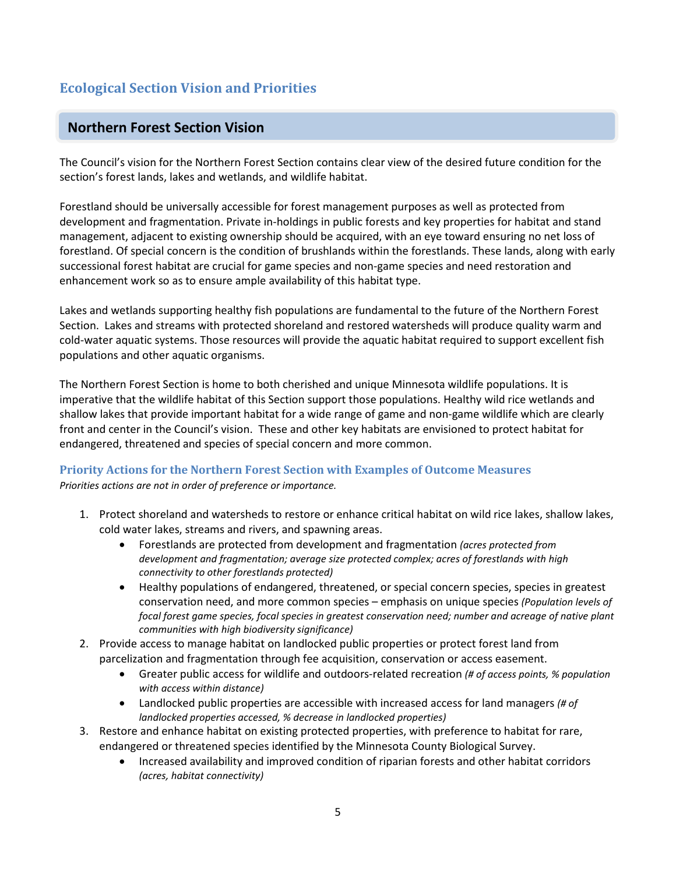# **Ecological Section Vision and Priorities**

# **Northern Forest Section Vision**

The Council's vision for the Northern Forest Section contains clear view of the desired future condition for the section's forest lands, lakes and wetlands, and wildlife habitat.

Forestland should be universally accessible for forest management purposes as well as protected from development and fragmentation. Private in-holdings in public forests and key properties for habitat and stand management, adjacent to existing ownership should be acquired, with an eye toward ensuring no net loss of forestland. Of special concern is the condition of brushlands within the forestlands. These lands, along with early successional forest habitat are crucial for game species and non-game species and need restoration and enhancement work so as to ensure ample availability of this habitat type.

Lakes and wetlands supporting healthy fish populations are fundamental to the future of the Northern Forest Section. Lakes and streams with protected shoreland and restored watersheds will produce quality warm and cold-water aquatic systems. Those resources will provide the aquatic habitat required to support excellent fish populations and other aquatic organisms.

The Northern Forest Section is home to both cherished and unique Minnesota wildlife populations. It is imperative that the wildlife habitat of this Section support those populations. Healthy wild rice wetlands and shallow lakes that provide important habitat for a wide range of game and non-game wildlife which are clearly front and center in the Council's vision. These and other key habitats are envisioned to protect habitat for endangered, threatened and species of special concern and more common.

## **Priority Actions for the Northern Forest Section with Examples of Outcome Measures**

- 1. Protect shoreland and watersheds to restore or enhance critical habitat on wild rice lakes, shallow lakes, cold water lakes, streams and rivers, and spawning areas.
	- Forestlands are protected from development and fragmentation *(acres protected from development and fragmentation; average size protected complex; acres of forestlands with high connectivity to other forestlands protected)*
	- Healthy populations of endangered, threatened, or special concern species, species in greatest conservation need, and more common species – emphasis on unique species *(Population levels of focal forest game species, focal species in greatest conservation need; number and acreage of native plant communities with high biodiversity significance)*
- 2. Provide access to manage habitat on landlocked public properties or protect forest land from parcelization and fragmentation through fee acquisition, conservation or access easement.
	- Greater public access for wildlife and outdoors-related recreation *(# of access points, % population with access within distance)*
	- Landlocked public properties are accessible with increased access for land managers *(# of landlocked properties accessed, % decrease in landlocked properties)*
- 3. Restore and enhance habitat on existing protected properties, with preference to habitat for rare, endangered or threatened species identified by the Minnesota County Biological Survey.
	- Increased availability and improved condition of riparian forests and other habitat corridors *(acres, habitat connectivity)*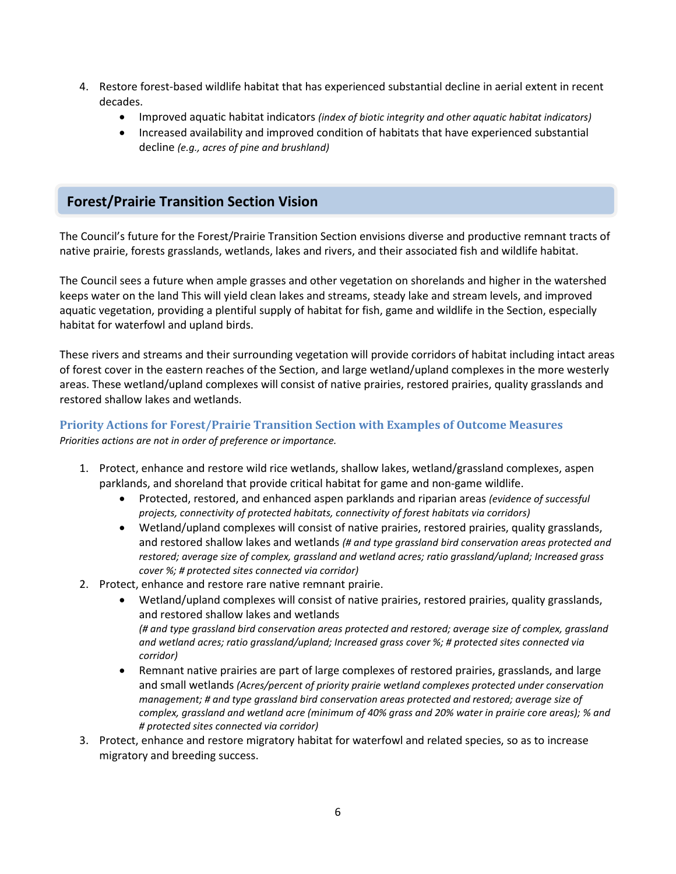- 4. Restore forest-based wildlife habitat that has experienced substantial decline in aerial extent in recent decades.
	- Improved aquatic habitat indicators *(index of biotic integrity and other aquatic habitat indicators)*
	- Increased availability and improved condition of habitats that have experienced substantial decline *(e.g., acres of pine and brushland)*

# **Forest/Prairie Transition Section Vision**

The Council's future for the Forest/Prairie Transition Section envisions diverse and productive remnant tracts of native prairie, forests grasslands, wetlands, lakes and rivers, and their associated fish and wildlife habitat.

The Council sees a future when ample grasses and other vegetation on shorelands and higher in the watershed keeps water on the land This will yield clean lakes and streams, steady lake and stream levels, and improved aquatic vegetation, providing a plentiful supply of habitat for fish, game and wildlife in the Section, especially habitat for waterfowl and upland birds.

These rivers and streams and their surrounding vegetation will provide corridors of habitat including intact areas of forest cover in the eastern reaches of the Section, and large wetland/upland complexes in the more westerly areas. These wetland/upland complexes will consist of native prairies, restored prairies, quality grasslands and restored shallow lakes and wetlands.

#### **Priority Actions for Forest/Prairie Transition Section with Examples of Outcome Measures** *Priorities actions are not in order of preference or importance.*

- 1. Protect, enhance and restore wild rice wetlands, shallow lakes, wetland/grassland complexes, aspen parklands, and shoreland that provide critical habitat for game and non-game wildlife.
	- Protected, restored, and enhanced aspen parklands and riparian areas *(evidence of successful projects, connectivity of protected habitats, connectivity of forest habitats via corridors)*
	- Wetland/upland complexes will consist of native prairies, restored prairies, quality grasslands, and restored shallow lakes and wetlands *(# and type grassland bird conservation areas protected and restored; average size of complex, grassland and wetland acres; ratio grassland/upland; Increased grass cover %; # protected sites connected via corridor)*
- 2. Protect, enhance and restore rare native remnant prairie.
	- Wetland/upland complexes will consist of native prairies, restored prairies, quality grasslands, and restored shallow lakes and wetlands *(# and type grassland bird conservation areas protected and restored; average size of complex, grassland and wetland acres; ratio grassland/upland; Increased grass cover %; # protected sites connected via corridor)*
	- Remnant native prairies are part of large complexes of restored prairies, grasslands, and large and small wetlands *(Acres/percent of priority prairie wetland complexes protected under conservation management; # and type grassland bird conservation areas protected and restored; average size of complex, grassland and wetland acre (minimum of 40% grass and 20% water in prairie core areas); % and # protected sites connected via corridor)*
- 3. Protect, enhance and restore migratory habitat for waterfowl and related species, so as to increase migratory and breeding success.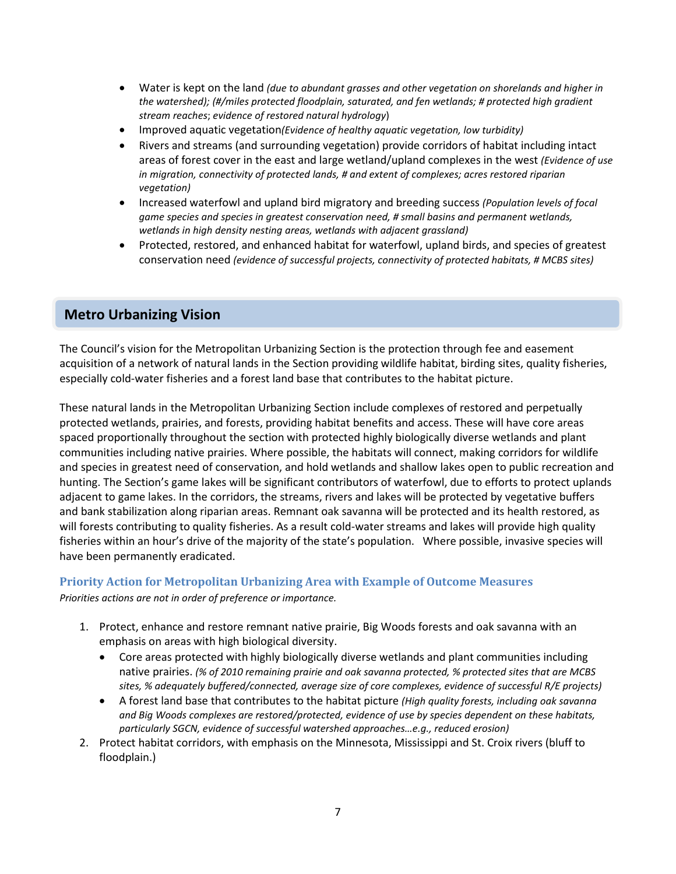- Water is kept on the land *(due to abundant grasses and other vegetation on shorelands and higher in the watershed); (#/miles protected floodplain, saturated, and fen wetlands; # protected high gradient stream reaches*; *evidence of restored natural hydrology*)
- Improved aquatic vegetation*(Evidence of healthy aquatic vegetation, low turbidity)*
- Rivers and streams (and surrounding vegetation) provide corridors of habitat including intact areas of forest cover in the east and large wetland/upland complexes in the west *(Evidence of use in migration, connectivity of protected lands, # and extent of complexes; acres restored riparian vegetation)*
- Increased waterfowl and upland bird migratory and breeding success *(Population levels of focal game species and species in greatest conservation need, # small basins and permanent wetlands, wetlands in high density nesting areas, wetlands with adjacent grassland)*
- Protected, restored, and enhanced habitat for waterfowl, upland birds, and species of greatest conservation need *(evidence of successful projects, connectivity of protected habitats, # MCBS sites)*

# **Metro Urbanizing Vision**

The Council's vision for the Metropolitan Urbanizing Section is the protection through fee and easement acquisition of a network of natural lands in the Section providing wildlife habitat, birding sites, quality fisheries, especially cold-water fisheries and a forest land base that contributes to the habitat picture.

These natural lands in the Metropolitan Urbanizing Section include complexes of restored and perpetually protected wetlands, prairies, and forests, providing habitat benefits and access. These will have core areas spaced proportionally throughout the section with protected highly biologically diverse wetlands and plant communities including native prairies. Where possible, the habitats will connect, making corridors for wildlife and species in greatest need of conservation, and hold wetlands and shallow lakes open to public recreation and hunting. The Section's game lakes will be significant contributors of waterfowl, due to efforts to protect uplands adjacent to game lakes. In the corridors, the streams, rivers and lakes will be protected by vegetative buffers and bank stabilization along riparian areas. Remnant oak savanna will be protected and its health restored, as will forests contributing to quality fisheries. As a result cold-water streams and lakes will provide high quality fisheries within an hour's drive of the majority of the state's population. Where possible, invasive species will have been permanently eradicated.

#### **Priority Action for Metropolitan Urbanizing Area with Example of Outcome Measures**

- 1. Protect, enhance and restore remnant native prairie, Big Woods forests and oak savanna with an emphasis on areas with high biological diversity.
	- Core areas protected with highly biologically diverse wetlands and plant communities including native prairies. *(% of 2010 remaining prairie and oak savanna protected, % protected sites that are MCBS sites, % adequately buffered/connected, average size of core complexes, evidence of successful R/E projects)*
	- A forest land base that contributes to the habitat picture *(High quality forests, including oak savanna and Big Woods complexes are restored/protected, evidence of use by species dependent on these habitats, particularly SGCN, evidence of successful watershed approaches…e.g., reduced erosion)*
- 2. Protect habitat corridors, with emphasis on the Minnesota, Mississippi and St. Croix rivers (bluff to floodplain.)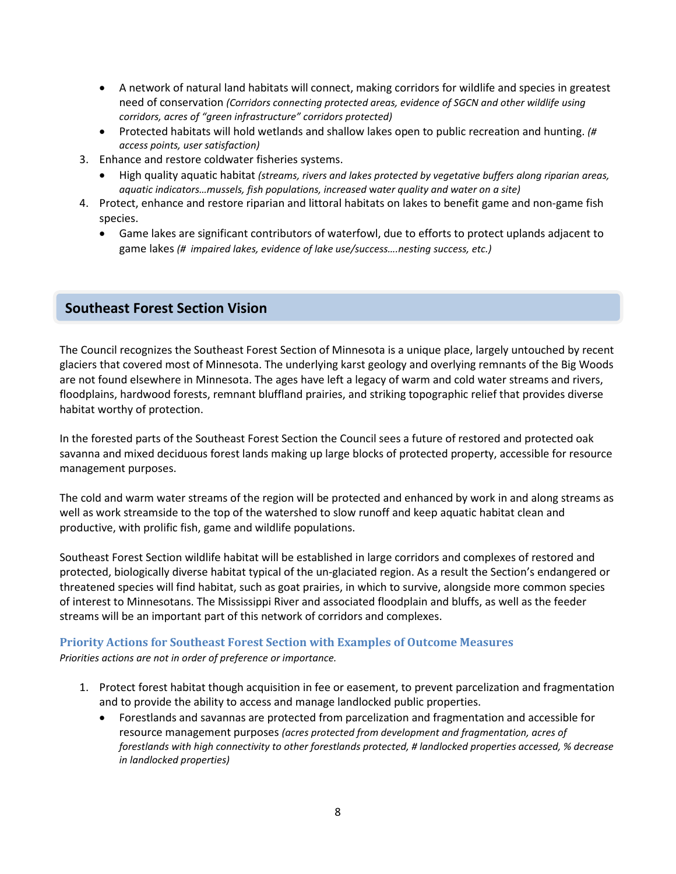- A network of natural land habitats will connect, making corridors for wildlife and species in greatest need of conservation *(Corridors connecting protected areas, evidence of SGCN and other wildlife using corridors, acres of "green infrastructure" corridors protected)*
- Protected habitats will hold wetlands and shallow lakes open to public recreation and hunting. *(# access points, user satisfaction)*
- 3. Enhance and restore coldwater fisheries systems.
	- High quality aquatic habitat *(streams, rivers and lakes protected by vegetative buffers along riparian areas, aquatic indicators…mussels, fish populations, increased* w*ater quality and water on a site)*
- 4. Protect, enhance and restore riparian and littoral habitats on lakes to benefit game and non-game fish species.
	- Game lakes are significant contributors of waterfowl, due to efforts to protect uplands adjacent to game lakes *(# impaired lakes, evidence of lake use/success….nesting success, etc.)*

# **Southeast Forest Section Vision**

The Council recognizes the Southeast Forest Section of Minnesota is a unique place, largely untouched by recent glaciers that covered most of Minnesota. The underlying karst geology and overlying remnants of the Big Woods are not found elsewhere in Minnesota. The ages have left a legacy of warm and cold water streams and rivers, floodplains, hardwood forests, remnant bluffland prairies, and striking topographic relief that provides diverse habitat worthy of protection.

In the forested parts of the Southeast Forest Section the Council sees a future of restored and protected oak savanna and mixed deciduous forest lands making up large blocks of protected property, accessible for resource management purposes.

The cold and warm water streams of the region will be protected and enhanced by work in and along streams as well as work streamside to the top of the watershed to slow runoff and keep aquatic habitat clean and productive, with prolific fish, game and wildlife populations.

Southeast Forest Section wildlife habitat will be established in large corridors and complexes of restored and protected, biologically diverse habitat typical of the un-glaciated region. As a result the Section's endangered or threatened species will find habitat, such as goat prairies, in which to survive, alongside more common species of interest to Minnesotans. The Mississippi River and associated floodplain and bluffs, as well as the feeder streams will be an important part of this network of corridors and complexes.

# **Priority Actions for Southeast Forest Section with Examples of Outcome Measures**

- 1. Protect forest habitat though acquisition in fee or easement, to prevent parcelization and fragmentation and to provide the ability to access and manage landlocked public properties.
	- Forestlands and savannas are protected from parcelization and fragmentation and accessible for resource management purposes *(acres protected from development and fragmentation, acres of forestlands with high connectivity to other forestlands protected, # landlocked properties accessed, % decrease in landlocked properties)*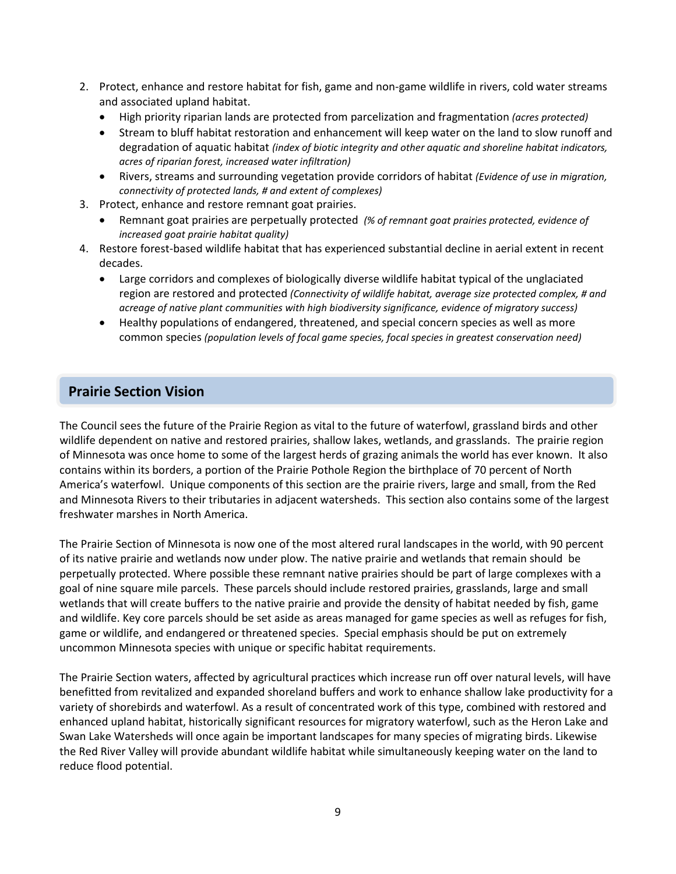- 2. Protect, enhance and restore habitat for fish, game and non-game wildlife in rivers, cold water streams and associated upland habitat.
	- High priority riparian lands are protected from parcelization and fragmentation *(acres protected)*
	- Stream to bluff habitat restoration and enhancement will keep water on the land to slow runoff and degradation of aquatic habitat *(index of biotic integrity and other aquatic and shoreline habitat indicators, acres of riparian forest, increased water infiltration)*
	- Rivers, streams and surrounding vegetation provide corridors of habitat *(Evidence of use in migration, connectivity of protected lands, # and extent of complexes)*
- 3. Protect, enhance and restore remnant goat prairies.
	- Remnant goat prairies are perpetually protected *(% of remnant goat prairies protected, evidence of increased goat prairie habitat quality)*
- 4. Restore forest-based wildlife habitat that has experienced substantial decline in aerial extent in recent decades.
	- Large corridors and complexes of biologically diverse wildlife habitat typical of the unglaciated region are restored and protected *(Connectivity of wildlife habitat, average size protected complex, # and acreage of native plant communities with high biodiversity significance, evidence of migratory success)*
	- Healthy populations of endangered, threatened, and special concern species as well as more common species *(population levels of focal game species, focal species in greatest conservation need)*

# **Prairie Section Vision**

The Council sees the future of the Prairie Region as vital to the future of waterfowl, grassland birds and other wildlife dependent on native and restored prairies, shallow lakes, wetlands, and grasslands. The prairie region of Minnesota was once home to some of the largest herds of grazing animals the world has ever known. It also contains within its borders, a portion of the Prairie Pothole Region the birthplace of 70 percent of North America's waterfowl. Unique components of this section are the prairie rivers, large and small, from the Red and Minnesota Rivers to their tributaries in adjacent watersheds. This section also contains some of the largest freshwater marshes in North America.

The Prairie Section of Minnesota is now one of the most altered rural landscapes in the world, with 90 percent of its native prairie and wetlands now under plow. The native prairie and wetlands that remain should be perpetually protected. Where possible these remnant native prairies should be part of large complexes with a goal of nine square mile parcels. These parcels should include restored prairies, grasslands, large and small wetlands that will create buffers to the native prairie and provide the density of habitat needed by fish, game and wildlife. Key core parcels should be set aside as areas managed for game species as well as refuges for fish, game or wildlife, and endangered or threatened species. Special emphasis should be put on extremely uncommon Minnesota species with unique or specific habitat requirements.

The Prairie Section waters, affected by agricultural practices which increase run off over natural levels, will have benefitted from revitalized and expanded shoreland buffers and work to enhance shallow lake productivity for a variety of shorebirds and waterfowl. As a result of concentrated work of this type, combined with restored and enhanced upland habitat, historically significant resources for migratory waterfowl, such as the Heron Lake and Swan Lake Watersheds will once again be important landscapes for many species of migrating birds. Likewise the Red River Valley will provide abundant wildlife habitat while simultaneously keeping water on the land to reduce flood potential.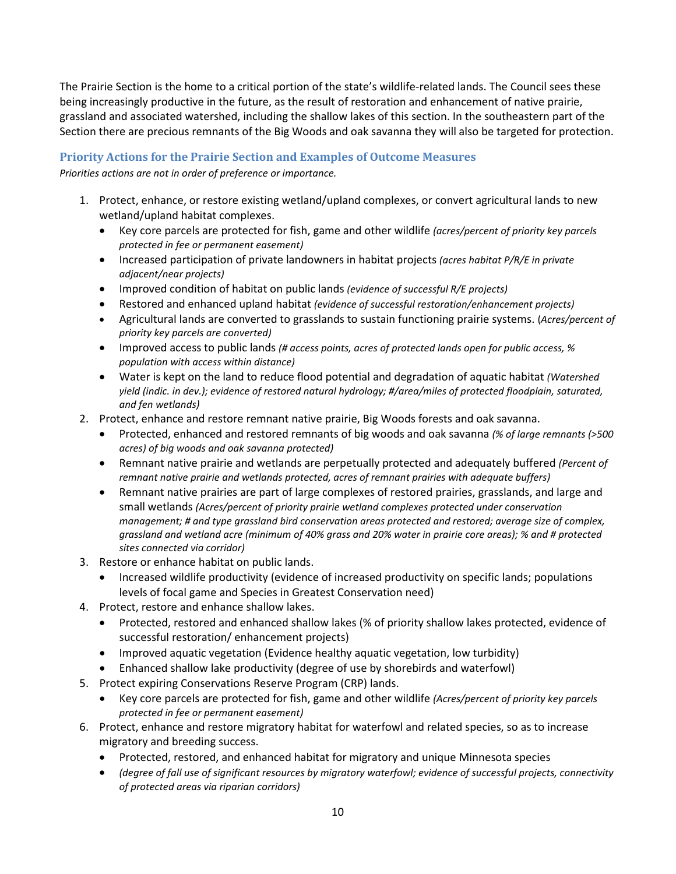The Prairie Section is the home to a critical portion of the state's wildlife-related lands. The Council sees these being increasingly productive in the future, as the result of restoration and enhancement of native prairie, grassland and associated watershed, including the shallow lakes of this section. In the southeastern part of the Section there are precious remnants of the Big Woods and oak savanna they will also be targeted for protection.

## **Priority Actions for the Prairie Section and Examples of Outcome Measures**

- 1. Protect, enhance, or restore existing wetland/upland complexes, or convert agricultural lands to new wetland/upland habitat complexes.
	- Key core parcels are protected for fish, game and other wildlife *(acres/percent of priority key parcels protected in fee or permanent easement)*
	- Increased participation of private landowners in habitat projects *(acres habitat P/R/E in private adjacent/near projects)*
	- Improved condition of habitat on public lands *(evidence of successful R/E projects)*
	- Restored and enhanced upland habitat *(evidence of successful restoration/enhancement projects)*
	- Agricultural lands are converted to grasslands to sustain functioning prairie systems. (*Acres/percent of priority key parcels are converted)*
	- Improved access to public lands *(# access points, acres of protected lands open for public access, % population with access within distance)*
	- Water is kept on the land to reduce flood potential and degradation of aquatic habitat *(Watershed yield (indic. in dev.); evidence of restored natural hydrology; #/area/miles of protected floodplain, saturated, and fen wetlands)*
- 2. Protect, enhance and restore remnant native prairie, Big Woods forests and oak savanna.
	- Protected, enhanced and restored remnants of big woods and oak savanna *(% of large remnants (>500 acres) of big woods and oak savanna protected)*
	- Remnant native prairie and wetlands are perpetually protected and adequately buffered *(Percent of remnant native prairie and wetlands protected, acres of remnant prairies with adequate buffers)*
	- Remnant native prairies are part of large complexes of restored prairies, grasslands, and large and small wetlands *(Acres/percent of priority prairie wetland complexes protected under conservation management; # and type grassland bird conservation areas protected and restored; average size of complex, grassland and wetland acre (minimum of 40% grass and 20% water in prairie core areas); % and # protected sites connected via corridor)*
- 3. Restore or enhance habitat on public lands.
	- Increased wildlife productivity (evidence of increased productivity on specific lands; populations levels of focal game and Species in Greatest Conservation need)
- 4. Protect, restore and enhance shallow lakes.
	- Protected, restored and enhanced shallow lakes (% of priority shallow lakes protected, evidence of successful restoration/ enhancement projects)
	- Improved aquatic vegetation (Evidence healthy aquatic vegetation, low turbidity)
	- Enhanced shallow lake productivity (degree of use by shorebirds and waterfowl)
- 5. Protect expiring Conservations Reserve Program (CRP) lands.
	- Key core parcels are protected for fish, game and other wildlife *(Acres/percent of priority key parcels protected in fee or permanent easement)*
- 6. Protect, enhance and restore migratory habitat for waterfowl and related species, so as to increase migratory and breeding success.
	- Protected, restored, and enhanced habitat for migratory and unique Minnesota species
	- *(degree of fall use of significant resources by migratory waterfowl; evidence of successful projects, connectivity of protected areas via riparian corridors)*